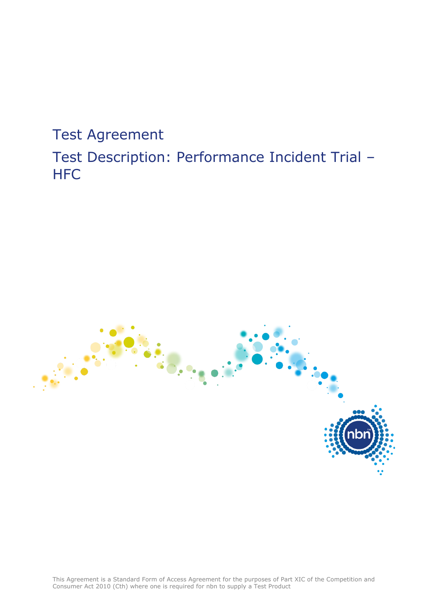Test Agreement Test Description: Performance Incident Trial – **HFC** 



This Agreement is a Standard Form of Access Agreement for the purposes of Part XIC of the Competition and Consumer Act 2010 (Cth) where one is required for nbn to supply a Test Product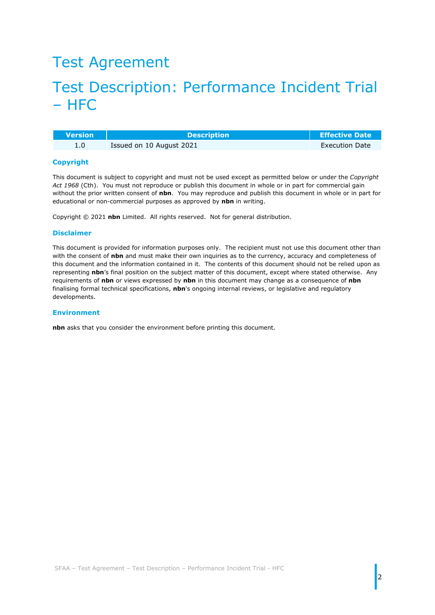### Test Agreement

### Test Description: Performance Incident Trial – HFC

| <b>Nersion</b> | <b>Description</b>       | <b>Effective Date</b> |
|----------------|--------------------------|-----------------------|
|                | Issued on 10 August 2021 | <b>Execution Date</b> |

#### **Copyright**

This document is subject to copyright and must not be used except as permitted below or under the *Copyright Act 1968* (Cth). You must not reproduce or publish this document in whole or in part for commercial gain without the prior written consent of **nbn**. You may reproduce and publish this document in whole or in part for educational or non-commercial purposes as approved by **nbn** in writing.

Copyright © 2021 **nbn** Limited. All rights reserved. Not for general distribution.

#### **Disclaimer**

This document is provided for information purposes only. The recipient must not use this document other than with the consent of **nbn** and must make their own inquiries as to the currency, accuracy and completeness of this document and the information contained in it. The contents of this document should not be relied upon as representing **nbn**'s final position on the subject matter of this document, except where stated otherwise. Any requirements of **nbn** or views expressed by **nbn** in this document may change as a consequence of **nbn** finalising formal technical specifications, **nbn**'s ongoing internal reviews, or legislative and regulatory developments.

#### **Environment**

**nbn** asks that you consider the environment before printing this document.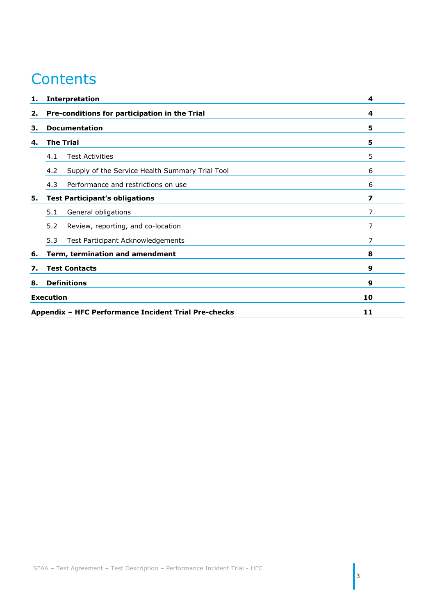## **Contents**

| 1. | <b>Interpretation</b>                                  | 4  |
|----|--------------------------------------------------------|----|
| 2. | Pre-conditions for participation in the Trial          | 4  |
| з. | <b>Documentation</b>                                   | 5  |
| 4. | <b>The Trial</b>                                       | 5  |
|    | <b>Test Activities</b><br>4.1                          | 5  |
|    | 4.2<br>Supply of the Service Health Summary Trial Tool | 6  |
|    | 4.3<br>Performance and restrictions on use             | 6  |
| 5. | <b>Test Participant's obligations</b>                  | 7  |
|    | General obligations<br>5.1                             | 7  |
|    | 5.2<br>Review, reporting, and co-location              | 7  |
|    | 5.3<br>Test Participant Acknowledgements               | 7  |
| 6. | Term, termination and amendment                        | 8  |
| 7. | <b>Test Contacts</b>                                   | 9  |
| 8. | <b>Definitions</b>                                     | 9  |
|    | <b>Execution</b>                                       | 10 |
|    | Appendix - HFC Performance Incident Trial Pre-checks   | 11 |

 $\Bigg|_3$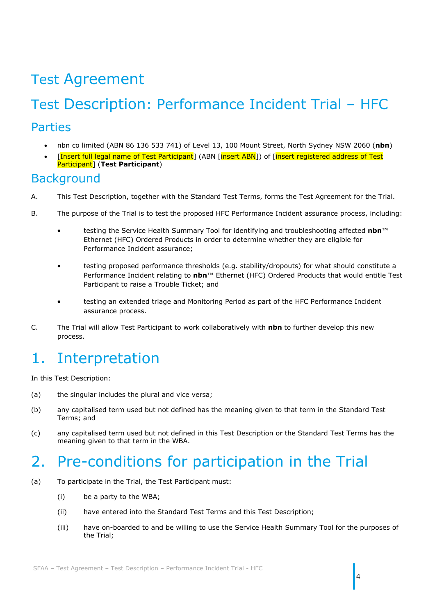## Test Agreement

# Test Description: Performance Incident Trial – HFC

### Parties

- nbn co limited (ABN 86 136 533 741) of Level 13, 100 Mount Street, North Sydney NSW 2060 (**nbn**)
- [Insert full legal name of Test Participant] (ABN [insert ABN]) of [insert registered address of Test Participant] (**Test Participant**)

### **Background**

- A. This Test Description, together with the Standard Test Terms, forms the Test Agreement for the Trial.
- B. The purpose of the Trial is to test the proposed HFC Performance Incident assurance process, including:
	- testing the Service Health Summary Tool for identifying and troubleshooting affected **nbn**™ Ethernet (HFC) Ordered Products in order to determine whether they are eligible for Performance Incident assurance;
	- testing proposed performance thresholds (e.g. stability/dropouts) for what should constitute a Performance Incident relating to **nbn**™ Ethernet (HFC) Ordered Products that would entitle Test Participant to raise a Trouble Ticket; and
	- testing an extended triage and Monitoring Period as part of the HFC Performance Incident assurance process.
- C. The Trial will allow Test Participant to work collaboratively with **nbn** to further develop this new process.

## <span id="page-3-0"></span>1. Interpretation

In this Test Description:

- (a) the singular includes the plural and vice versa;
- (b) any capitalised term used but not defined has the meaning given to that term in the Standard Test Terms; and
- (c) any capitalised term used but not defined in this Test Description or the Standard Test Terms has the meaning given to that term in the WBA.

### <span id="page-3-1"></span>2. Pre-conditions for participation in the Trial

- <span id="page-3-2"></span>(a) To participate in the Trial, the Test Participant must:
	- (i) be a party to the WBA;
	- (ii) have entered into the Standard Test Terms and this Test Description;
	- (iii) have on-boarded to and be willing to use the Service Health Summary Tool for the purposes of the Trial;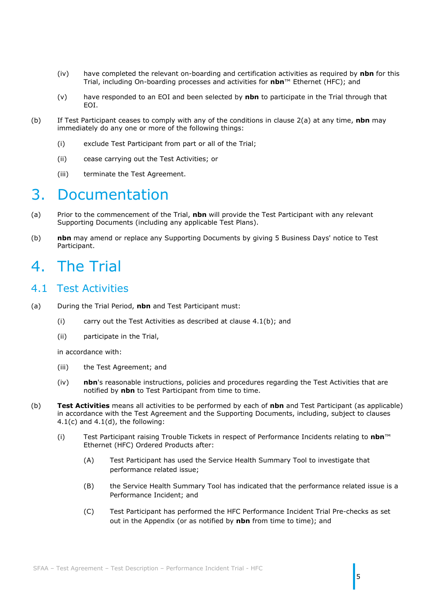- (iv) have completed the relevant on-boarding and certification activities as required by **nbn** for this Trial, including On-boarding processes and activities for **nbn**™ Ethernet (HFC); and
- (v) have responded to an EOI and been selected by **nbn** to participate in the Trial through that EOI.
- (b) If Test Participant ceases to comply with any of the conditions in clause [2\(a\)](#page-3-2) at any time, **nbn** may immediately do any one or more of the following things:
	- (i) exclude Test Participant from part or all of the Trial;
	- (ii) cease carrying out the Test Activities; or
	- (iii) terminate the Test Agreement.

### <span id="page-4-0"></span>3. Documentation

- (a) Prior to the commencement of the Trial, **nbn** will provide the Test Participant with any relevant Supporting Documents (including any applicable Test Plans).
- (b) **nbn** may amend or replace any Supporting Documents by giving 5 Business Days' notice to Test Participant.

### <span id="page-4-1"></span>4. The Trial

#### <span id="page-4-2"></span>4.1 Test Activities

- (a) During the Trial Period, **nbn** and Test Participant must:
	- (i) carry out the Test Activities as described at clause [4.1\(b\);](#page-4-3) and
	- (ii) participate in the Trial,

in accordance with:

- (iii) the Test Agreement; and
- (iv) **nbn**'s reasonable instructions, policies and procedures regarding the Test Activities that are notified by **nbn** to Test Participant from time to time.
- <span id="page-4-3"></span>(b) **Test Activities** means all activities to be performed by each of **nbn** and Test Participant (as applicable) in accordance with the Test Agreement and the Supporting Documents, including, subject to clauses  $4.1(c)$  and  $4.1(d)$ , the following:
	- (i) Test Participant raising Trouble Tickets in respect of Performance Incidents relating to **nbn**™ Ethernet (HFC) Ordered Products after:
		- (A) Test Participant has used the Service Health Summary Tool to investigate that performance related issue;
		- (B) the Service Health Summary Tool has indicated that the performance related issue is a Performance Incident; and
		- (C) Test Participant has performed the HFC Performance Incident Trial Pre-checks as set out in the Appendix (or as notified by **nbn** from time to time); and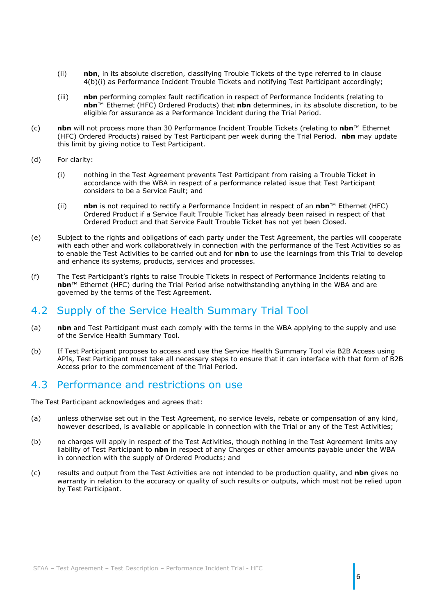- (ii) **nbn**, in its absolute discretion, classifying Trouble Tickets of the type referred to in clause 4(b)(i) as Performance Incident Trouble Tickets and notifying Test Participant accordingly;
- (iii) **nbn** performing complex fault rectification in respect of Performance Incidents (relating to **nbn**™ Ethernet (HFC) Ordered Products) that **nbn** determines, in its absolute discretion, to be eligible for assurance as a Performance Incident during the Trial Period.
- <span id="page-5-2"></span>(c) **nbn** will not process more than 30 Performance Incident Trouble Tickets (relating to **nbn**™ Ethernet (HFC) Ordered Products) raised by Test Participant per week during the Trial Period. **nbn** may update this limit by giving notice to Test Participant.
- <span id="page-5-3"></span>(d) For clarity:
	- (i) nothing in the Test Agreement prevents Test Participant from raising a Trouble Ticket in accordance with the WBA in respect of a performance related issue that Test Participant considers to be a Service Fault; and
	- (ii) **nbn** is not required to rectify a Performance Incident in respect of an **nbn**™ Ethernet (HFC) Ordered Product if a Service Fault Trouble Ticket has already been raised in respect of that Ordered Product and that Service Fault Trouble Ticket has not yet been Closed.
- (e) Subject to the rights and obligations of each party under the Test Agreement, the parties will cooperate with each other and work collaboratively in connection with the performance of the Test Activities so as to enable the Test Activities to be carried out and for **nbn** to use the learnings from this Trial to develop and enhance its systems, products, services and processes.
- (f) The Test Participant's rights to raise Trouble Tickets in respect of Performance Incidents relating to **nbn**™ Ethernet (HFC) during the Trial Period arise notwithstanding anything in the WBA and are governed by the terms of the Test Agreement.

### <span id="page-5-0"></span>4.2 Supply of the Service Health Summary Trial Tool

- (a) **nbn** and Test Participant must each comply with the terms in the WBA applying to the supply and use of the Service Health Summary Tool.
- (b) If Test Participant proposes to access and use the Service Health Summary Tool via B2B Access using APIs, Test Participant must take all necessary steps to ensure that it can interface with that form of B2B Access prior to the commencement of the Trial Period.

#### <span id="page-5-1"></span>4.3 Performance and restrictions on use

The Test Participant acknowledges and agrees that:

- (a) unless otherwise set out in the Test Agreement, no service levels, rebate or compensation of any kind, however described, is available or applicable in connection with the Trial or any of the Test Activities;
- (b) no charges will apply in respect of the Test Activities, though nothing in the Test Agreement limits any liability of Test Participant to **nbn** in respect of any Charges or other amounts payable under the WBA in connection with the supply of Ordered Products; and
- (c) results and output from the Test Activities are not intended to be production quality, and **nbn** gives no warranty in relation to the accuracy or quality of such results or outputs, which must not be relied upon by Test Participant.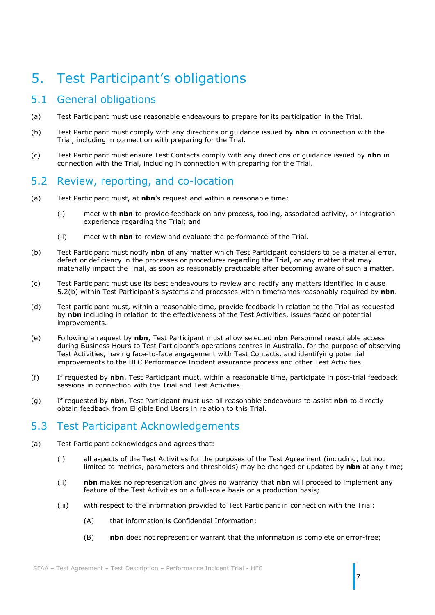### <span id="page-6-0"></span>5. Test Participant's obligations

### <span id="page-6-1"></span>5.1 General obligations

- (a) Test Participant must use reasonable endeavours to prepare for its participation in the Trial.
- (b) Test Participant must comply with any directions or guidance issued by **nbn** in connection with the Trial, including in connection with preparing for the Trial.
- (c) Test Participant must ensure Test Contacts comply with any directions or guidance issued by **nbn** in connection with the Trial, including in connection with preparing for the Trial.

#### <span id="page-6-2"></span>5.2 Review, reporting, and co-location

- (a) Test Participant must, at **nbn**'s request and within a reasonable time:
	- (i) meet with **nbn** to provide feedback on any process, tooling, associated activity, or integration experience regarding the Trial; and
	- (ii) meet with **nbn** to review and evaluate the performance of the Trial.
- <span id="page-6-4"></span>(b) Test Participant must notify **nbn** of any matter which Test Participant considers to be a material error, defect or deficiency in the processes or procedures regarding the Trial, or any matter that may materially impact the Trial, as soon as reasonably practicable after becoming aware of such a matter.
- (c) Test Participant must use its best endeavours to review and rectify any matters identified in clause [5.2\(b\)](#page-6-4) within Test Participant's systems and processes within timeframes reasonably required by **nbn**.
- (d) Test participant must, within a reasonable time, provide feedback in relation to the Trial as requested by **nbn** including in relation to the effectiveness of the Test Activities, issues faced or potential improvements.
- (e) Following a request by **nbn**, Test Participant must allow selected **nbn** Personnel reasonable access during Business Hours to Test Participant's operations centres in Australia, for the purpose of observing Test Activities, having face-to-face engagement with Test Contacts, and identifying potential improvements to the HFC Performance Incident assurance process and other Test Activities.
- (f) If requested by **nbn**, Test Participant must, within a reasonable time, participate in post-trial feedback sessions in connection with the Trial and Test Activities.
- (g) If requested by **nbn**, Test Participant must use all reasonable endeavours to assist **nbn** to directly obtain feedback from Eligible End Users in relation to this Trial.

### <span id="page-6-3"></span>5.3 Test Participant Acknowledgements

- <span id="page-6-5"></span>(a) Test Participant acknowledges and agrees that:
	- (i) all aspects of the Test Activities for the purposes of the Test Agreement (including, but not limited to metrics, parameters and thresholds) may be changed or updated by **nbn** at any time;
	- (ii) **nbn** makes no representation and gives no warranty that **nbn** will proceed to implement any feature of the Test Activities on a full-scale basis or a production basis;
	- (iii) with respect to the information provided to Test Participant in connection with the Trial:
		- (A) that information is Confidential Information;
		- (B) **nbn** does not represent or warrant that the information is complete or error-free;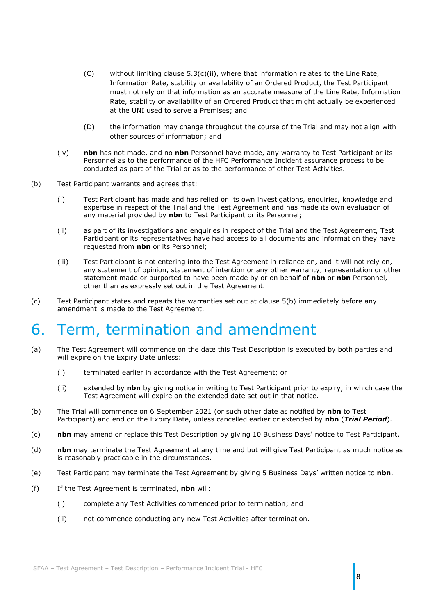- $(C)$  without limiting clause [5.3\(c\)\(ii\),](#page-6-5) where that information relates to the Line Rate, Information Rate, stability or availability of an Ordered Product, the Test Participant must not rely on that information as an accurate measure of the Line Rate, Information Rate, stability or availability of an Ordered Product that might actually be experienced at the UNI used to serve a Premises; and
- (D) the information may change throughout the course of the Trial and may not align with other sources of information; and
- (iv) **nbn** has not made, and no **nbn** Personnel have made, any warranty to Test Participant or its Personnel as to the performance of the HFC Performance Incident assurance process to be conducted as part of the Trial or as to the performance of other Test Activities.
- (b) Test Participant warrants and agrees that:
	- (i) Test Participant has made and has relied on its own investigations, enquiries, knowledge and expertise in respect of the Trial and the Test Agreement and has made its own evaluation of any material provided by **nbn** to Test Participant or its Personnel;
	- (ii) as part of its investigations and enquiries in respect of the Trial and the Test Agreement, Test Participant or its representatives have had access to all documents and information they have requested from **nbn** or its Personnel;
	- (iii) Test Participant is not entering into the Test Agreement in reliance on, and it will not rely on, any statement of opinion, statement of intention or any other warranty, representation or other statement made or purported to have been made by or on behalf of **nbn** or **nbn** Personnel, other than as expressly set out in the Test Agreement.
- (c) Test Participant states and repeats the warranties set out at clause 5(b) immediately before any amendment is made to the Test Agreement.

### <span id="page-7-0"></span>6. Term, termination and amendment

- (a) The Test Agreement will commence on the date this Test Description is executed by both parties and will expire on the Expiry Date unless:
	- (i) terminated earlier in accordance with the Test Agreement; or
	- (ii) extended by **nbn** by giving notice in writing to Test Participant prior to expiry, in which case the Test Agreement will expire on the extended date set out in that notice.
- <span id="page-7-1"></span>(b) The Trial will commence on 6 September 2021 (or such other date as notified by **nbn** to Test Participant) and end on the Expiry Date, unless cancelled earlier or extended by **nbn** (*Trial Period*).
- (c) **nbn** may amend or replace this Test Description by giving 10 Business Days' notice to Test Participant.
- (d) **nbn** may terminate the Test Agreement at any time and but will give Test Participant as much notice as is reasonably practicable in the circumstances.
- (e) Test Participant may terminate the Test Agreement by giving 5 Business Days' written notice to **nbn**.
- (f) If the Test Agreement is terminated, **nbn** will:
	- (i) complete any Test Activities commenced prior to termination; and
	- (ii) not commence conducting any new Test Activities after termination.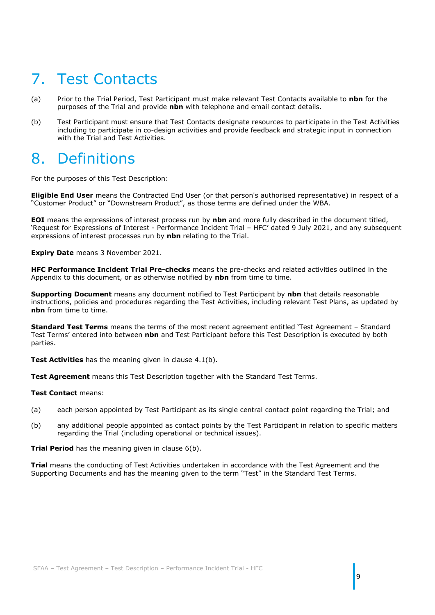## <span id="page-8-0"></span>7. Test Contacts

- (a) Prior to the Trial Period, Test Participant must make relevant Test Contacts available to **nbn** for the purposes of the Trial and provide **nbn** with telephone and email contact details.
- (b) Test Participant must ensure that Test Contacts designate resources to participate in the Test Activities including to participate in co-design activities and provide feedback and strategic input in connection with the Trial and Test Activities.

### <span id="page-8-1"></span>8. Definitions

For the purposes of this Test Description:

**Eligible End User** means the Contracted End User (or that person's authorised representative) in respect of a "Customer Product" or "Downstream Product", as those terms are defined under the WBA.

**EOI** means the expressions of interest process run by **nbn** and more fully described in the document titled, 'Request for Expressions of Interest - Performance Incident Trial – HFC' dated 9 July 2021, and any subsequent expressions of interest processes run by **nbn** relating to the Trial.

**Expiry Date** means 3 November 2021.

**HFC Performance Incident Trial Pre-checks** means the pre-checks and related activities outlined in the Appendix to this document, or as otherwise notified by **nbn** from time to time.

**Supporting Document** means any document notified to Test Participant by **nbn** that details reasonable instructions, policies and procedures regarding the Test Activities, including relevant Test Plans, as updated by **nbn** from time to time.

**Standard Test Terms** means the terms of the most recent agreement entitled 'Test Agreement – Standard Test Terms' entered into between **nbn** and Test Participant before this Test Description is executed by both parties.

**Test Activities** has the meaning given in clause [4.1\(b\).](#page-4-3)

**Test Agreement** means this Test Description together with the Standard Test Terms.

#### **Test Contact** means:

- (a) each person appointed by Test Participant as its single central contact point regarding the Trial; and
- (b) any additional people appointed as contact points by the Test Participant in relation to specific matters regarding the Trial (including operational or technical issues).

9

**Trial Period** has the meaning given in clause [6\(b\).](#page-7-1)

**Trial** means the conducting of Test Activities undertaken in accordance with the Test Agreement and the Supporting Documents and has the meaning given to the term "Test" in the Standard Test Terms.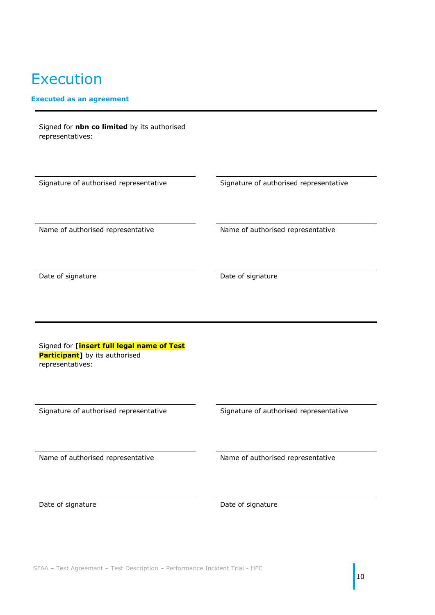# <span id="page-9-0"></span>Execution

#### **Executed as an agreement**

| Signed for nbn co limited by its authorised<br>representatives:                                          |                                        |
|----------------------------------------------------------------------------------------------------------|----------------------------------------|
|                                                                                                          |                                        |
| Signature of authorised representative                                                                   | Signature of authorised representative |
|                                                                                                          |                                        |
| Name of authorised representative                                                                        | Name of authorised representative      |
|                                                                                                          |                                        |
| Date of signature                                                                                        | Date of signature                      |
|                                                                                                          |                                        |
|                                                                                                          |                                        |
|                                                                                                          |                                        |
| Signed for [insert full legal name of Test<br><b>Participant</b> ] by its authorised<br>representatives: |                                        |
|                                                                                                          |                                        |
| Signature of authorised representative                                                                   | Signature of authorised representative |
|                                                                                                          |                                        |
| Name of authorised representative                                                                        | Name of authorised representative      |
|                                                                                                          |                                        |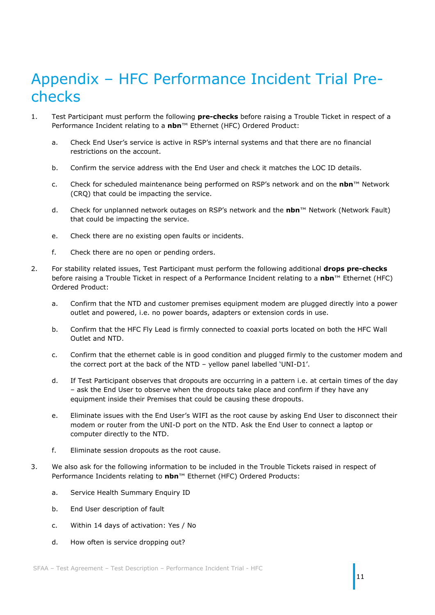## <span id="page-10-0"></span>Appendix – HFC Performance Incident Trial Prechecks

- 1. Test Participant must perform the following **pre-checks** before raising a Trouble Ticket in respect of a Performance Incident relating to a **nbn**™ Ethernet (HFC) Ordered Product:
	- a. Check End User's service is active in RSP's internal systems and that there are no financial restrictions on the account.
	- b. Confirm the service address with the End User and check it matches the LOC ID details.
	- c. Check for scheduled maintenance being performed on RSP's network and on the **nbn**™ Network (CRQ) that could be impacting the service.
	- d. Check for unplanned network outages on RSP's network and the **nbn**™ Network (Network Fault) that could be impacting the service.
	- e. Check there are no existing open faults or incidents.
	- f. Check there are no open or pending orders.
- 2. For stability related issues, Test Participant must perform the following additional **drops pre-checks** before raising a Trouble Ticket in respect of a Performance Incident relating to a **nbn**™ Ethernet (HFC) Ordered Product:
	- a. Confirm that the NTD and customer premises equipment modem are plugged directly into a power outlet and powered, i.e. no power boards, adapters or extension cords in use.
	- b. Confirm that the HFC Fly Lead is firmly connected to coaxial ports located on both the HFC Wall Outlet and NTD.
	- c. Confirm that the ethernet cable is in good condition and plugged firmly to the customer modem and the correct port at the back of the NTD – yellow panel labelled 'UNI-D1'.
	- d. If Test Participant observes that dropouts are occurring in a pattern i.e. at certain times of the day – ask the End User to observe when the dropouts take place and confirm if they have any equipment inside their Premises that could be causing these dropouts.
	- e. Eliminate issues with the End User's WIFI as the root cause by asking End User to disconnect their modem or router from the UNI-D port on the NTD. Ask the End User to connect a laptop or computer directly to the NTD.
	- f. Eliminate session dropouts as the root cause.
- 3. We also ask for the following information to be included in the Trouble Tickets raised in respect of Performance Incidents relating to **nbn**™ Ethernet (HFC) Ordered Products:
	- a. Service Health Summary Enquiry ID
	- b. End User description of fault
	- c. Within 14 days of activation: Yes / No
	- d. How often is service dropping out?